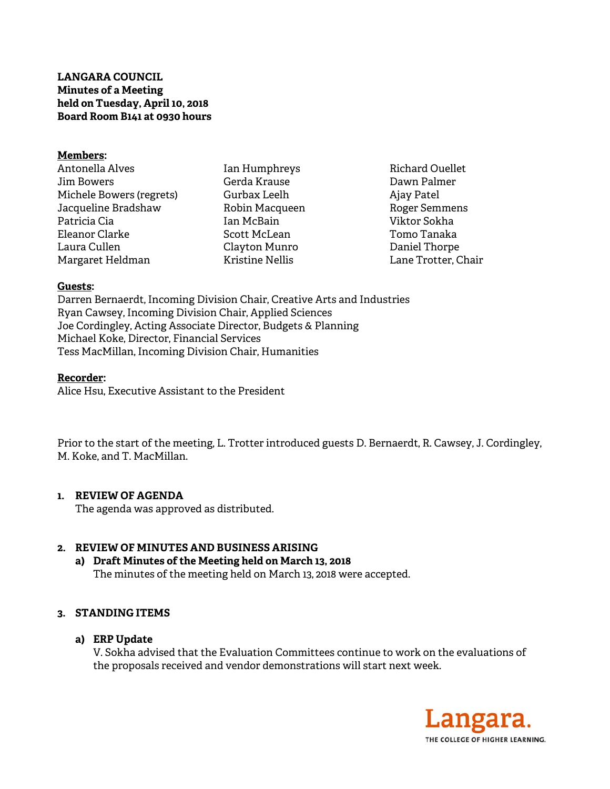# **LANGARA COUNCIL Minutes of a Meeting held on Tuesday, April 10, 2018 Board Room B141 at 0930 hours**

#### **Members:**

Antonella Alves Jim Bowers Michele Bowers (regrets) Jacqueline Bradshaw Patricia Cia Eleanor Clarke Laura Cullen Margaret Heldman

Ian Humphreys Gerda Krause Gurbax Leelh Robin Macqueen Ian McBain Scott McLean Clayton Munro Kristine Nellis

Richard Ouellet Dawn Palmer Ajay Patel Roger Semmens Viktor Sokha Tomo Tanaka Daniel Thorpe Lane Trotter, Chair

## **Guests:**

Darren Bernaerdt, Incoming Division Chair, Creative Arts and Industries Ryan Cawsey, Incoming Division Chair, Applied Sciences Joe Cordingley, Acting Associate Director, Budgets & Planning Michael Koke, Director, Financial Services Tess MacMillan, Incoming Division Chair, Humanities

#### **Recorder:**

Alice Hsu, Executive Assistant to the President

Prior to the start of the meeting, L. Trotter introduced guests D. Bernaerdt, R. Cawsey, J. Cordingley, M. Koke, and T. MacMillan.

## **1. REVIEW OF AGENDA**

The agenda was approved as distributed.

## **2. REVIEW OF MINUTES AND BUSINESS ARISING**

**a) Draft Minutes of the Meeting held on March 13, 2018**  The minutes of the meeting held on March 13, 2018 were accepted.

## **3. STANDING ITEMS**

## **a) ERP Update**

V. Sokha advised that the Evaluation Committees continue to work on the evaluations of the proposals received and vendor demonstrations will start next week.